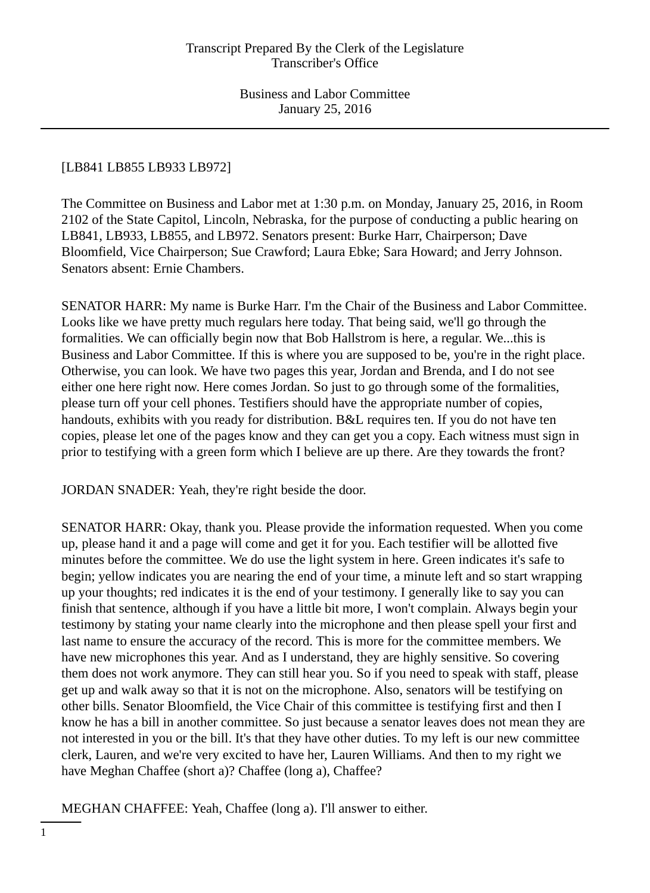# [LB841 LB855 LB933 LB972]

The Committee on Business and Labor met at 1:30 p.m. on Monday, January 25, 2016, in Room 2102 of the State Capitol, Lincoln, Nebraska, for the purpose of conducting a public hearing on LB841, LB933, LB855, and LB972. Senators present: Burke Harr, Chairperson; Dave Bloomfield, Vice Chairperson; Sue Crawford; Laura Ebke; Sara Howard; and Jerry Johnson. Senators absent: Ernie Chambers.

SENATOR HARR: My name is Burke Harr. I'm the Chair of the Business and Labor Committee. Looks like we have pretty much regulars here today. That being said, we'll go through the formalities. We can officially begin now that Bob Hallstrom is here, a regular. We...this is Business and Labor Committee. If this is where you are supposed to be, you're in the right place. Otherwise, you can look. We have two pages this year, Jordan and Brenda, and I do not see either one here right now. Here comes Jordan. So just to go through some of the formalities, please turn off your cell phones. Testifiers should have the appropriate number of copies, handouts, exhibits with you ready for distribution. B&L requires ten. If you do not have ten copies, please let one of the pages know and they can get you a copy. Each witness must sign in prior to testifying with a green form which I believe are up there. Are they towards the front?

JORDAN SNADER: Yeah, they're right beside the door.

SENATOR HARR: Okay, thank you. Please provide the information requested. When you come up, please hand it and a page will come and get it for you. Each testifier will be allotted five minutes before the committee. We do use the light system in here. Green indicates it's safe to begin; yellow indicates you are nearing the end of your time, a minute left and so start wrapping up your thoughts; red indicates it is the end of your testimony. I generally like to say you can finish that sentence, although if you have a little bit more, I won't complain. Always begin your testimony by stating your name clearly into the microphone and then please spell your first and last name to ensure the accuracy of the record. This is more for the committee members. We have new microphones this year. And as I understand, they are highly sensitive. So covering them does not work anymore. They can still hear you. So if you need to speak with staff, please get up and walk away so that it is not on the microphone. Also, senators will be testifying on other bills. Senator Bloomfield, the Vice Chair of this committee is testifying first and then I know he has a bill in another committee. So just because a senator leaves does not mean they are not interested in you or the bill. It's that they have other duties. To my left is our new committee clerk, Lauren, and we're very excited to have her, Lauren Williams. And then to my right we have Meghan Chaffee (short a)? Chaffee (long a), Chaffee?

MEGHAN CHAFFEE: Yeah, Chaffee (long a). I'll answer to either.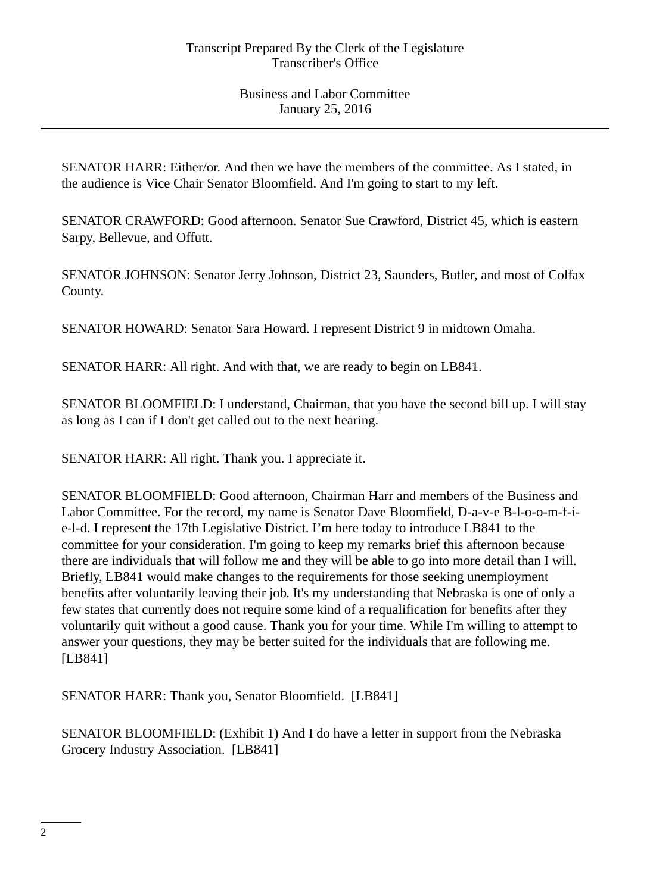SENATOR HARR: Either/or. And then we have the members of the committee. As I stated, in the audience is Vice Chair Senator Bloomfield. And I'm going to start to my left.

SENATOR CRAWFORD: Good afternoon. Senator Sue Crawford, District 45, which is eastern Sarpy, Bellevue, and Offutt.

SENATOR JOHNSON: Senator Jerry Johnson, District 23, Saunders, Butler, and most of Colfax County.

SENATOR HOWARD: Senator Sara Howard. I represent District 9 in midtown Omaha.

SENATOR HARR: All right. And with that, we are ready to begin on LB841.

SENATOR BLOOMFIELD: I understand, Chairman, that you have the second bill up. I will stay as long as I can if I don't get called out to the next hearing.

SENATOR HARR: All right. Thank you. I appreciate it.

SENATOR BLOOMFIELD: Good afternoon, Chairman Harr and members of the Business and Labor Committee. For the record, my name is Senator Dave Bloomfield, D-a-v-e B-l-o-o-m-f-ie-l-d. I represent the 17th Legislative District. I'm here today to introduce LB841 to the committee for your consideration. I'm going to keep my remarks brief this afternoon because there are individuals that will follow me and they will be able to go into more detail than I will. Briefly, LB841 would make changes to the requirements for those seeking unemployment benefits after voluntarily leaving their job. It's my understanding that Nebraska is one of only a few states that currently does not require some kind of a requalification for benefits after they voluntarily quit without a good cause. Thank you for your time. While I'm willing to attempt to answer your questions, they may be better suited for the individuals that are following me. [LB841]

SENATOR HARR: Thank you, Senator Bloomfield. [LB841]

SENATOR BLOOMFIELD: (Exhibit 1) And I do have a letter in support from the Nebraska Grocery Industry Association. [LB841]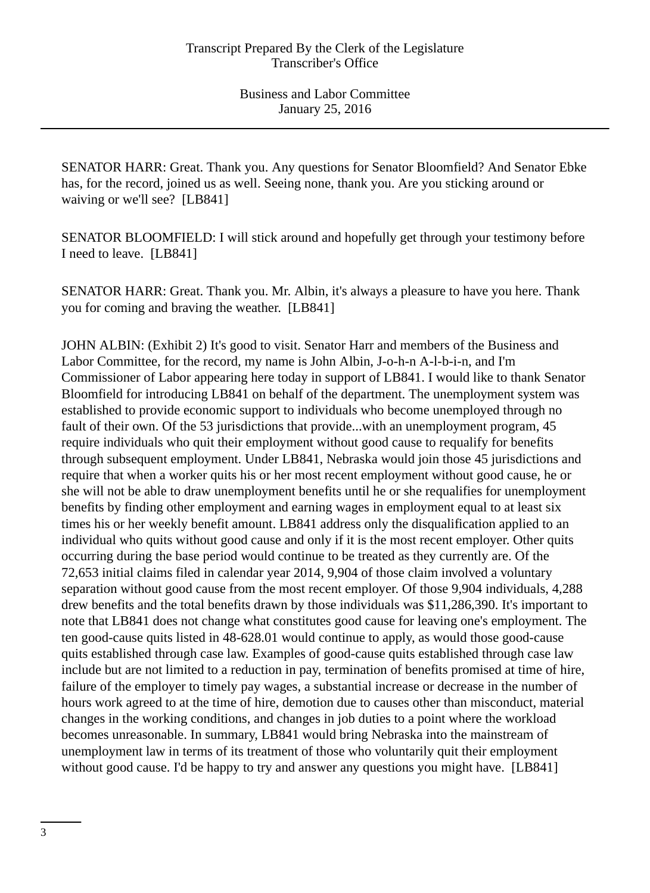SENATOR HARR: Great. Thank you. Any questions for Senator Bloomfield? And Senator Ebke has, for the record, joined us as well. Seeing none, thank you. Are you sticking around or waiving or we'll see? [LB841]

SENATOR BLOOMFIELD: I will stick around and hopefully get through your testimony before I need to leave. [LB841]

SENATOR HARR: Great. Thank you. Mr. Albin, it's always a pleasure to have you here. Thank you for coming and braving the weather. [LB841]

JOHN ALBIN: (Exhibit 2) It's good to visit. Senator Harr and members of the Business and Labor Committee, for the record, my name is John Albin, J-o-h-n A-l-b-i-n, and I'm Commissioner of Labor appearing here today in support of LB841. I would like to thank Senator Bloomfield for introducing LB841 on behalf of the department. The unemployment system was established to provide economic support to individuals who become unemployed through no fault of their own. Of the 53 jurisdictions that provide...with an unemployment program, 45 require individuals who quit their employment without good cause to requalify for benefits through subsequent employment. Under LB841, Nebraska would join those 45 jurisdictions and require that when a worker quits his or her most recent employment without good cause, he or she will not be able to draw unemployment benefits until he or she requalifies for unemployment benefits by finding other employment and earning wages in employment equal to at least six times his or her weekly benefit amount. LB841 address only the disqualification applied to an individual who quits without good cause and only if it is the most recent employer. Other quits occurring during the base period would continue to be treated as they currently are. Of the 72,653 initial claims filed in calendar year 2014, 9,904 of those claim involved a voluntary separation without good cause from the most recent employer. Of those 9,904 individuals, 4,288 drew benefits and the total benefits drawn by those individuals was \$11,286,390. It's important to note that LB841 does not change what constitutes good cause for leaving one's employment. The ten good-cause quits listed in 48-628.01 would continue to apply, as would those good-cause quits established through case law. Examples of good-cause quits established through case law include but are not limited to a reduction in pay, termination of benefits promised at time of hire, failure of the employer to timely pay wages, a substantial increase or decrease in the number of hours work agreed to at the time of hire, demotion due to causes other than misconduct, material changes in the working conditions, and changes in job duties to a point where the workload becomes unreasonable. In summary, LB841 would bring Nebraska into the mainstream of unemployment law in terms of its treatment of those who voluntarily quit their employment without good cause. I'd be happy to try and answer any questions you might have. [LB841]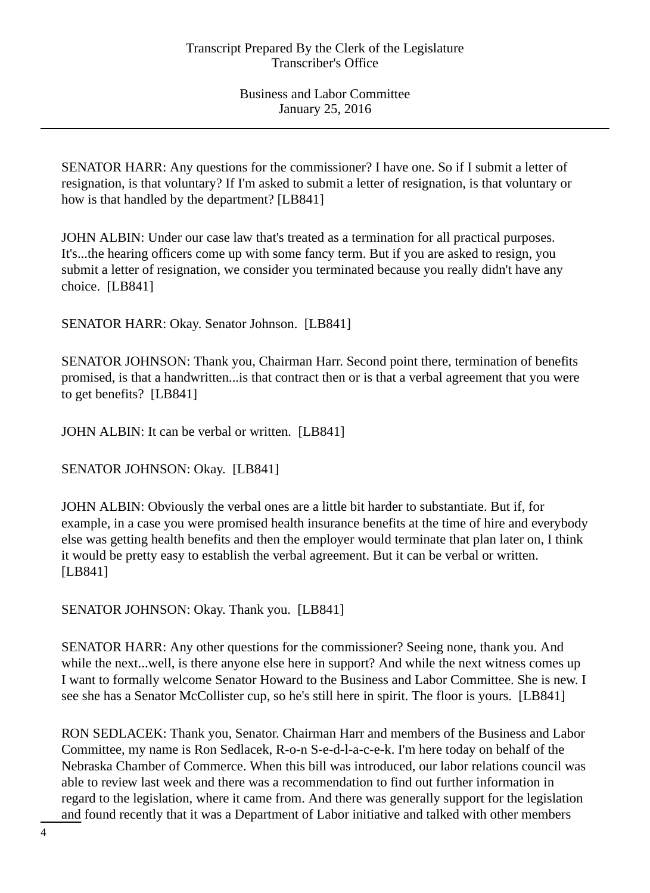SENATOR HARR: Any questions for the commissioner? I have one. So if I submit a letter of resignation, is that voluntary? If I'm asked to submit a letter of resignation, is that voluntary or how is that handled by the department? [LB841]

JOHN ALBIN: Under our case law that's treated as a termination for all practical purposes. It's...the hearing officers come up with some fancy term. But if you are asked to resign, you submit a letter of resignation, we consider you terminated because you really didn't have any choice. [LB841]

SENATOR HARR: Okay. Senator Johnson. [LB841]

SENATOR JOHNSON: Thank you, Chairman Harr. Second point there, termination of benefits promised, is that a handwritten...is that contract then or is that a verbal agreement that you were to get benefits? [LB841]

JOHN ALBIN: It can be verbal or written. [LB841]

SENATOR JOHNSON: Okay. [LB841]

JOHN ALBIN: Obviously the verbal ones are a little bit harder to substantiate. But if, for example, in a case you were promised health insurance benefits at the time of hire and everybody else was getting health benefits and then the employer would terminate that plan later on, I think it would be pretty easy to establish the verbal agreement. But it can be verbal or written. [LB841]

SENATOR JOHNSON: Okay. Thank you. [LB841]

SENATOR HARR: Any other questions for the commissioner? Seeing none, thank you. And while the next...well, is there anyone else here in support? And while the next witness comes up I want to formally welcome Senator Howard to the Business and Labor Committee. She is new. I see she has a Senator McCollister cup, so he's still here in spirit. The floor is yours. [LB841]

RON SEDLACEK: Thank you, Senator. Chairman Harr and members of the Business and Labor Committee, my name is Ron Sedlacek, R-o-n S-e-d-l-a-c-e-k. I'm here today on behalf of the Nebraska Chamber of Commerce. When this bill was introduced, our labor relations council was able to review last week and there was a recommendation to find out further information in regard to the legislation, where it came from. And there was generally support for the legislation and found recently that it was a Department of Labor initiative and talked with other members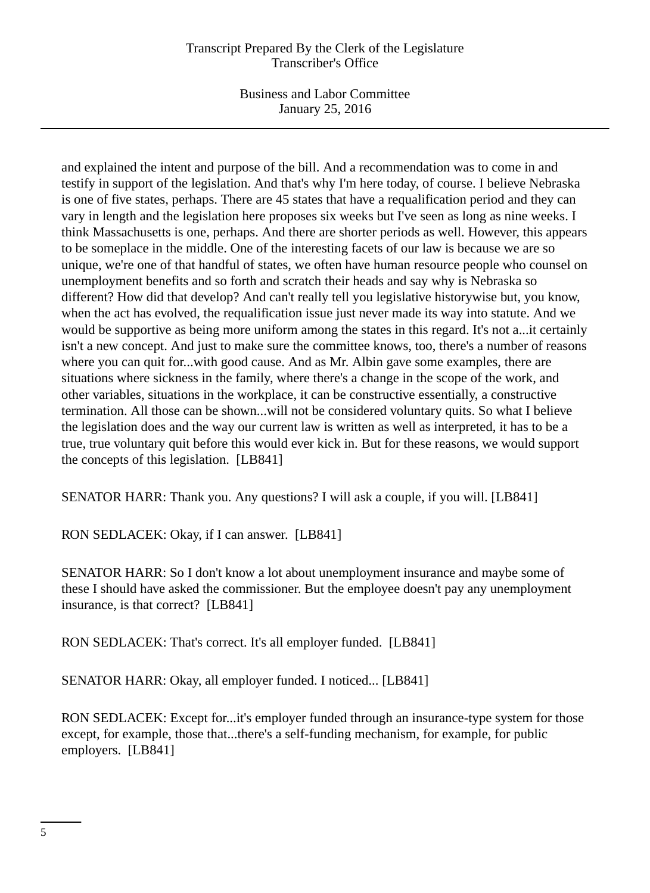Business and Labor Committee January 25, 2016

and explained the intent and purpose of the bill. And a recommendation was to come in and testify in support of the legislation. And that's why I'm here today, of course. I believe Nebraska is one of five states, perhaps. There are 45 states that have a requalification period and they can vary in length and the legislation here proposes six weeks but I've seen as long as nine weeks. I think Massachusetts is one, perhaps. And there are shorter periods as well. However, this appears to be someplace in the middle. One of the interesting facets of our law is because we are so unique, we're one of that handful of states, we often have human resource people who counsel on unemployment benefits and so forth and scratch their heads and say why is Nebraska so different? How did that develop? And can't really tell you legislative historywise but, you know, when the act has evolved, the requalification issue just never made its way into statute. And we would be supportive as being more uniform among the states in this regard. It's not a...it certainly isn't a new concept. And just to make sure the committee knows, too, there's a number of reasons where you can quit for...with good cause. And as Mr. Albin gave some examples, there are situations where sickness in the family, where there's a change in the scope of the work, and other variables, situations in the workplace, it can be constructive essentially, a constructive termination. All those can be shown...will not be considered voluntary quits. So what I believe the legislation does and the way our current law is written as well as interpreted, it has to be a true, true voluntary quit before this would ever kick in. But for these reasons, we would support the concepts of this legislation. [LB841]

SENATOR HARR: Thank you. Any questions? I will ask a couple, if you will. [LB841]

RON SEDLACEK: Okay, if I can answer. [LB841]

SENATOR HARR: So I don't know a lot about unemployment insurance and maybe some of these I should have asked the commissioner. But the employee doesn't pay any unemployment insurance, is that correct? [LB841]

RON SEDLACEK: That's correct. It's all employer funded. [LB841]

SENATOR HARR: Okay, all employer funded. I noticed... [LB841]

RON SEDLACEK: Except for...it's employer funded through an insurance-type system for those except, for example, those that...there's a self-funding mechanism, for example, for public employers. [LB841]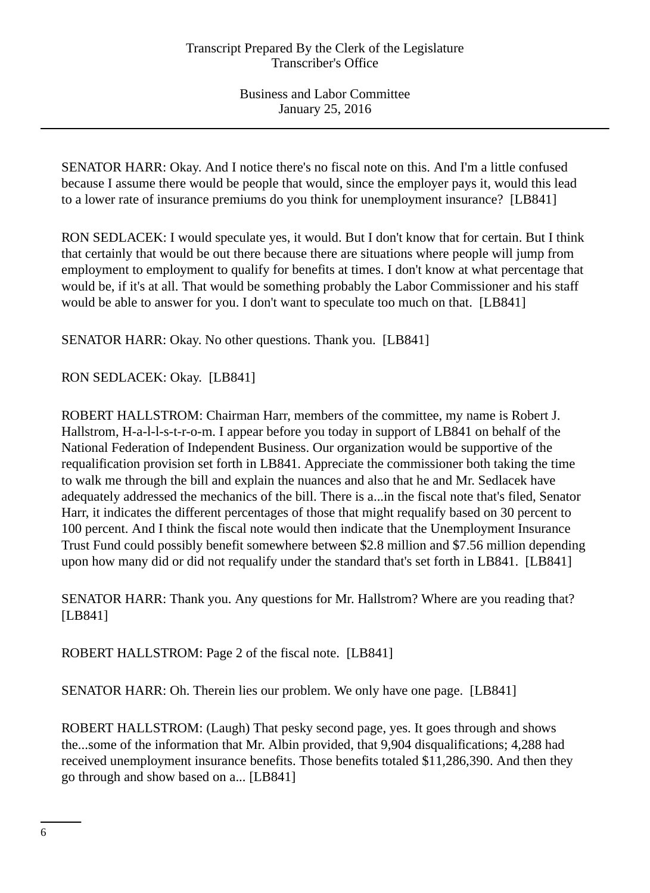SENATOR HARR: Okay. And I notice there's no fiscal note on this. And I'm a little confused because I assume there would be people that would, since the employer pays it, would this lead to a lower rate of insurance premiums do you think for unemployment insurance? [LB841]

RON SEDLACEK: I would speculate yes, it would. But I don't know that for certain. But I think that certainly that would be out there because there are situations where people will jump from employment to employment to qualify for benefits at times. I don't know at what percentage that would be, if it's at all. That would be something probably the Labor Commissioner and his staff would be able to answer for you. I don't want to speculate too much on that. [LB841]

SENATOR HARR: Okay. No other questions. Thank you. [LB841]

RON SEDLACEK: Okay. [LB841]

ROBERT HALLSTROM: Chairman Harr, members of the committee, my name is Robert J. Hallstrom, H-a-l-l-s-t-r-o-m. I appear before you today in support of LB841 on behalf of the National Federation of Independent Business. Our organization would be supportive of the requalification provision set forth in LB841. Appreciate the commissioner both taking the time to walk me through the bill and explain the nuances and also that he and Mr. Sedlacek have adequately addressed the mechanics of the bill. There is a...in the fiscal note that's filed, Senator Harr, it indicates the different percentages of those that might requalify based on 30 percent to 100 percent. And I think the fiscal note would then indicate that the Unemployment Insurance Trust Fund could possibly benefit somewhere between \$2.8 million and \$7.56 million depending upon how many did or did not requalify under the standard that's set forth in LB841. [LB841]

SENATOR HARR: Thank you. Any questions for Mr. Hallstrom? Where are you reading that? [LB841]

ROBERT HALLSTROM: Page 2 of the fiscal note. [LB841]

SENATOR HARR: Oh. Therein lies our problem. We only have one page. [LB841]

ROBERT HALLSTROM: (Laugh) That pesky second page, yes. It goes through and shows the...some of the information that Mr. Albin provided, that 9,904 disqualifications; 4,288 had received unemployment insurance benefits. Those benefits totaled \$11,286,390. And then they go through and show based on a... [LB841]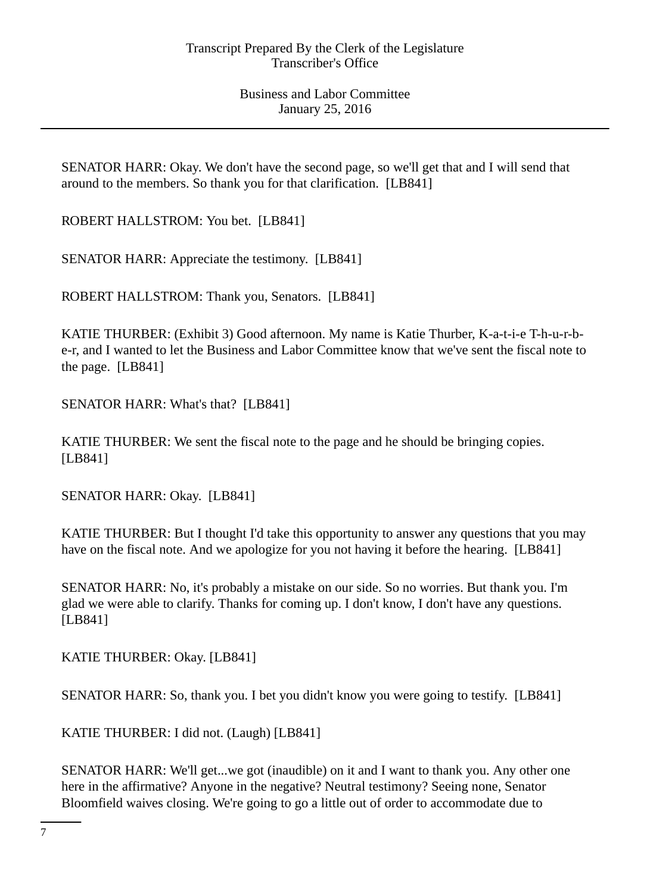SENATOR HARR: Okay. We don't have the second page, so we'll get that and I will send that around to the members. So thank you for that clarification. [LB841]

ROBERT HALLSTROM: You bet. [LB841]

SENATOR HARR: Appreciate the testimony. [LB841]

ROBERT HALLSTROM: Thank you, Senators. [LB841]

KATIE THURBER: (Exhibit 3) Good afternoon. My name is Katie Thurber, K-a-t-i-e T-h-u-r-be-r, and I wanted to let the Business and Labor Committee know that we've sent the fiscal note to the page. [LB841]

SENATOR HARR: What's that? [LB841]

KATIE THURBER: We sent the fiscal note to the page and he should be bringing copies. [LB841]

SENATOR HARR: Okay. [LB841]

KATIE THURBER: But I thought I'd take this opportunity to answer any questions that you may have on the fiscal note. And we apologize for you not having it before the hearing. [LB841]

SENATOR HARR: No, it's probably a mistake on our side. So no worries. But thank you. I'm glad we were able to clarify. Thanks for coming up. I don't know, I don't have any questions. [LB841]

KATIE THURBER: Okay. [LB841]

SENATOR HARR: So, thank you. I bet you didn't know you were going to testify. [LB841]

KATIE THURBER: I did not. (Laugh) [LB841]

SENATOR HARR: We'll get...we got (inaudible) on it and I want to thank you. Any other one here in the affirmative? Anyone in the negative? Neutral testimony? Seeing none, Senator Bloomfield waives closing. We're going to go a little out of order to accommodate due to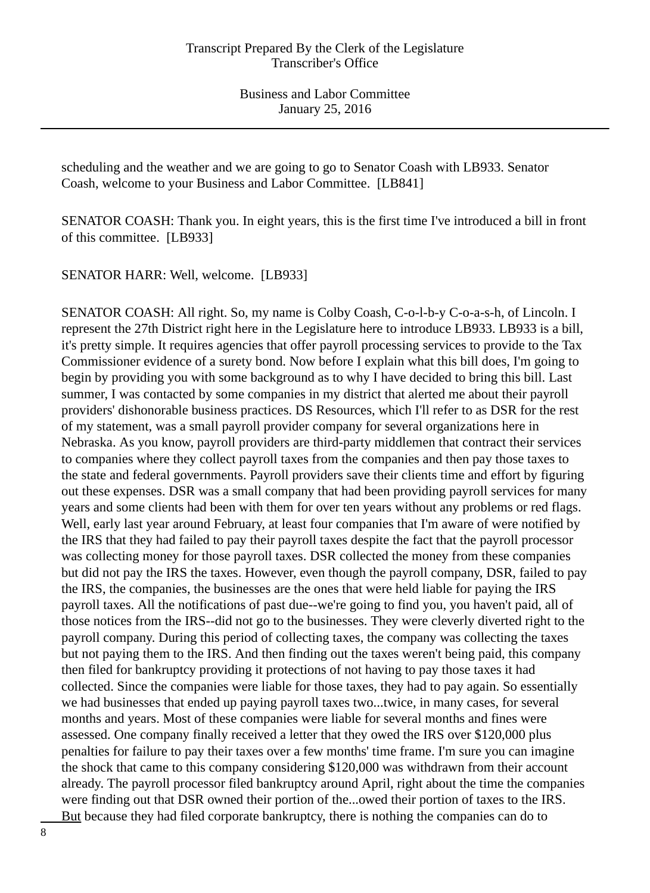scheduling and the weather and we are going to go to Senator Coash with LB933. Senator Coash, welcome to your Business and Labor Committee. [LB841]

SENATOR COASH: Thank you. In eight years, this is the first time I've introduced a bill in front of this committee. [LB933]

SENATOR HARR: Well, welcome. [LB933]

SENATOR COASH: All right. So, my name is Colby Coash, C-o-l-b-y C-o-a-s-h, of Lincoln. I represent the 27th District right here in the Legislature here to introduce LB933. LB933 is a bill, it's pretty simple. It requires agencies that offer payroll processing services to provide to the Tax Commissioner evidence of a surety bond. Now before I explain what this bill does, I'm going to begin by providing you with some background as to why I have decided to bring this bill. Last summer, I was contacted by some companies in my district that alerted me about their payroll providers' dishonorable business practices. DS Resources, which I'll refer to as DSR for the rest of my statement, was a small payroll provider company for several organizations here in Nebraska. As you know, payroll providers are third-party middlemen that contract their services to companies where they collect payroll taxes from the companies and then pay those taxes to the state and federal governments. Payroll providers save their clients time and effort by figuring out these expenses. DSR was a small company that had been providing payroll services for many years and some clients had been with them for over ten years without any problems or red flags. Well, early last year around February, at least four companies that I'm aware of were notified by the IRS that they had failed to pay their payroll taxes despite the fact that the payroll processor was collecting money for those payroll taxes. DSR collected the money from these companies but did not pay the IRS the taxes. However, even though the payroll company, DSR, failed to pay the IRS, the companies, the businesses are the ones that were held liable for paying the IRS payroll taxes. All the notifications of past due--we're going to find you, you haven't paid, all of those notices from the IRS--did not go to the businesses. They were cleverly diverted right to the payroll company. During this period of collecting taxes, the company was collecting the taxes but not paying them to the IRS. And then finding out the taxes weren't being paid, this company then filed for bankruptcy providing it protections of not having to pay those taxes it had collected. Since the companies were liable for those taxes, they had to pay again. So essentially we had businesses that ended up paying payroll taxes two...twice, in many cases, for several months and years. Most of these companies were liable for several months and fines were assessed. One company finally received a letter that they owed the IRS over \$120,000 plus penalties for failure to pay their taxes over a few months' time frame. I'm sure you can imagine the shock that came to this company considering \$120,000 was withdrawn from their account already. The payroll processor filed bankruptcy around April, right about the time the companies were finding out that DSR owned their portion of the...owed their portion of taxes to the IRS. But because they had filed corporate bankruptcy, there is nothing the companies can do to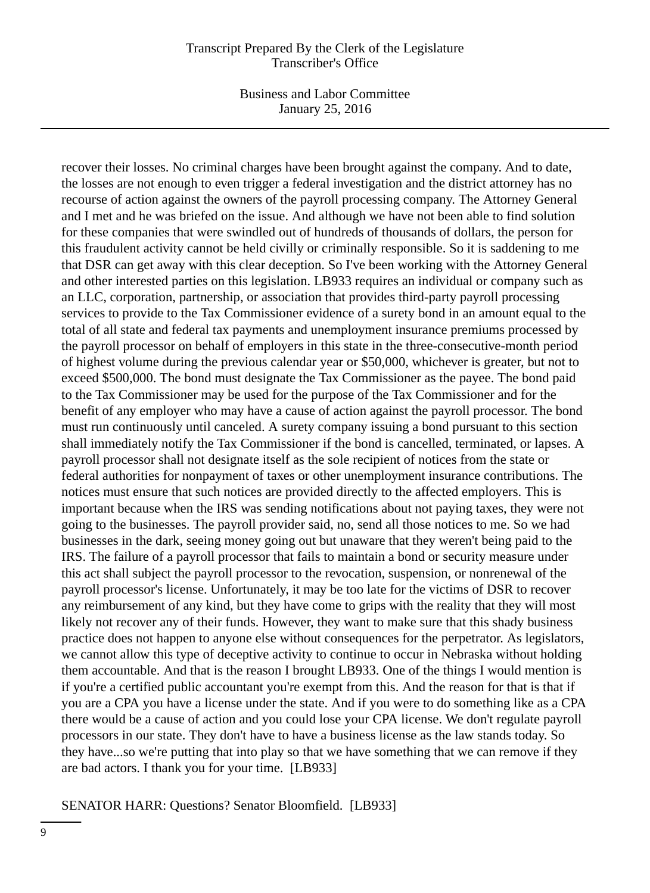Business and Labor Committee January 25, 2016

recover their losses. No criminal charges have been brought against the company. And to date, the losses are not enough to even trigger a federal investigation and the district attorney has no recourse of action against the owners of the payroll processing company. The Attorney General and I met and he was briefed on the issue. And although we have not been able to find solution for these companies that were swindled out of hundreds of thousands of dollars, the person for this fraudulent activity cannot be held civilly or criminally responsible. So it is saddening to me that DSR can get away with this clear deception. So I've been working with the Attorney General and other interested parties on this legislation. LB933 requires an individual or company such as an LLC, corporation, partnership, or association that provides third-party payroll processing services to provide to the Tax Commissioner evidence of a surety bond in an amount equal to the total of all state and federal tax payments and unemployment insurance premiums processed by the payroll processor on behalf of employers in this state in the three-consecutive-month period of highest volume during the previous calendar year or \$50,000, whichever is greater, but not to exceed \$500,000. The bond must designate the Tax Commissioner as the payee. The bond paid to the Tax Commissioner may be used for the purpose of the Tax Commissioner and for the benefit of any employer who may have a cause of action against the payroll processor. The bond must run continuously until canceled. A surety company issuing a bond pursuant to this section shall immediately notify the Tax Commissioner if the bond is cancelled, terminated, or lapses. A payroll processor shall not designate itself as the sole recipient of notices from the state or federal authorities for nonpayment of taxes or other unemployment insurance contributions. The notices must ensure that such notices are provided directly to the affected employers. This is important because when the IRS was sending notifications about not paying taxes, they were not going to the businesses. The payroll provider said, no, send all those notices to me. So we had businesses in the dark, seeing money going out but unaware that they weren't being paid to the IRS. The failure of a payroll processor that fails to maintain a bond or security measure under this act shall subject the payroll processor to the revocation, suspension, or nonrenewal of the payroll processor's license. Unfortunately, it may be too late for the victims of DSR to recover any reimbursement of any kind, but they have come to grips with the reality that they will most likely not recover any of their funds. However, they want to make sure that this shady business practice does not happen to anyone else without consequences for the perpetrator. As legislators, we cannot allow this type of deceptive activity to continue to occur in Nebraska without holding them accountable. And that is the reason I brought LB933. One of the things I would mention is if you're a certified public accountant you're exempt from this. And the reason for that is that if you are a CPA you have a license under the state. And if you were to do something like as a CPA there would be a cause of action and you could lose your CPA license. We don't regulate payroll processors in our state. They don't have to have a business license as the law stands today. So they have...so we're putting that into play so that we have something that we can remove if they are bad actors. I thank you for your time. [LB933]

## SENATOR HARR: Questions? Senator Bloomfield. [LB933]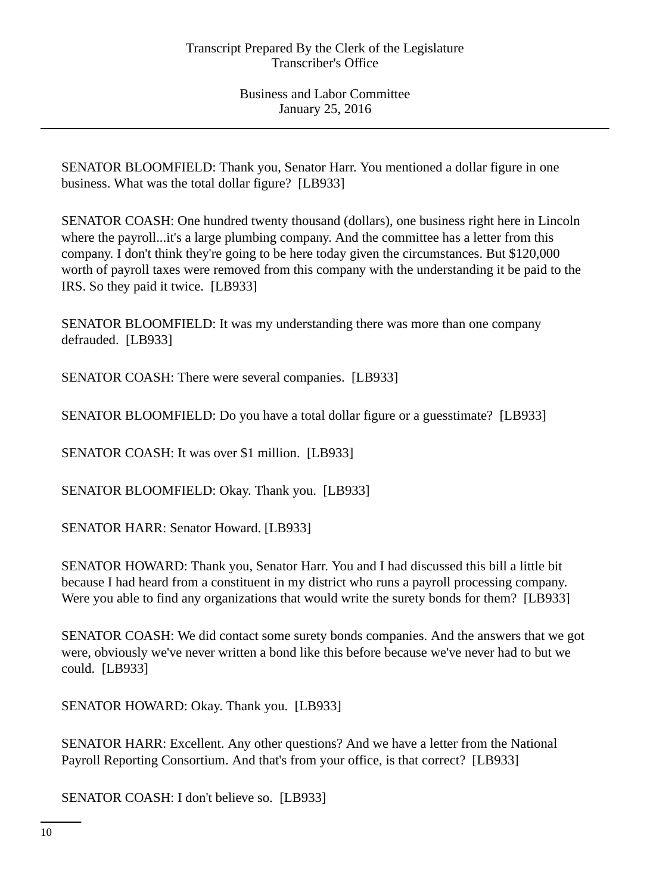SENATOR BLOOMFIELD: Thank you, Senator Harr. You mentioned a dollar figure in one business. What was the total dollar figure? [LB933]

SENATOR COASH: One hundred twenty thousand (dollars), one business right here in Lincoln where the payroll...it's a large plumbing company. And the committee has a letter from this company. I don't think they're going to be here today given the circumstances. But \$120,000 worth of payroll taxes were removed from this company with the understanding it be paid to the IRS. So they paid it twice. [LB933]

SENATOR BLOOMFIELD: It was my understanding there was more than one company defrauded. [LB933]

SENATOR COASH: There were several companies. [LB933]

SENATOR BLOOMFIELD: Do you have a total dollar figure or a guesstimate? [LB933]

SENATOR COASH: It was over \$1 million. [LB933]

SENATOR BLOOMFIELD: Okay. Thank you. [LB933]

SENATOR HARR: Senator Howard. [LB933]

SENATOR HOWARD: Thank you, Senator Harr. You and I had discussed this bill a little bit because I had heard from a constituent in my district who runs a payroll processing company. Were you able to find any organizations that would write the surety bonds for them? [LB933]

SENATOR COASH: We did contact some surety bonds companies. And the answers that we got were, obviously we've never written a bond like this before because we've never had to but we could. [LB933]

SENATOR HOWARD: Okay. Thank you. [LB933]

SENATOR HARR: Excellent. Any other questions? And we have a letter from the National Payroll Reporting Consortium. And that's from your office, is that correct? [LB933]

SENATOR COASH: I don't believe so. [LB933]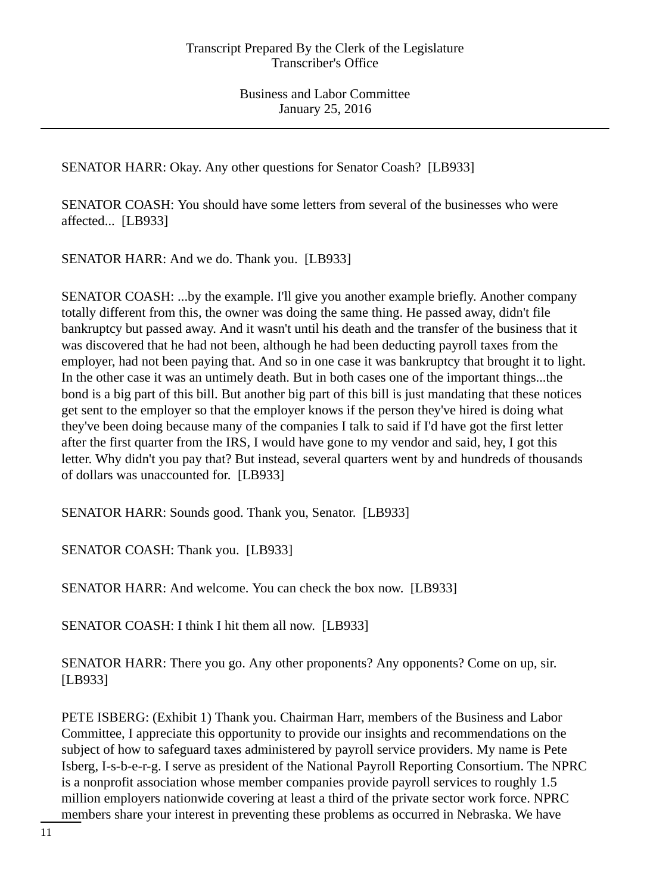SENATOR HARR: Okay. Any other questions for Senator Coash? [LB933]

SENATOR COASH: You should have some letters from several of the businesses who were affected... [LB933]

SENATOR HARR: And we do. Thank you. [LB933]

SENATOR COASH: ...by the example. I'll give you another example briefly. Another company totally different from this, the owner was doing the same thing. He passed away, didn't file bankruptcy but passed away. And it wasn't until his death and the transfer of the business that it was discovered that he had not been, although he had been deducting payroll taxes from the employer, had not been paying that. And so in one case it was bankruptcy that brought it to light. In the other case it was an untimely death. But in both cases one of the important things...the bond is a big part of this bill. But another big part of this bill is just mandating that these notices get sent to the employer so that the employer knows if the person they've hired is doing what they've been doing because many of the companies I talk to said if I'd have got the first letter after the first quarter from the IRS, I would have gone to my vendor and said, hey, I got this letter. Why didn't you pay that? But instead, several quarters went by and hundreds of thousands of dollars was unaccounted for. [LB933]

SENATOR HARR: Sounds good. Thank you, Senator. [LB933]

SENATOR COASH: Thank you. [LB933]

SENATOR HARR: And welcome. You can check the box now. [LB933]

SENATOR COASH: I think I hit them all now. [LB933]

SENATOR HARR: There you go. Any other proponents? Any opponents? Come on up, sir. [LB933]

PETE ISBERG: (Exhibit 1) Thank you. Chairman Harr, members of the Business and Labor Committee, I appreciate this opportunity to provide our insights and recommendations on the subject of how to safeguard taxes administered by payroll service providers. My name is Pete Isberg, I-s-b-e-r-g. I serve as president of the National Payroll Reporting Consortium. The NPRC is a nonprofit association whose member companies provide payroll services to roughly 1.5 million employers nationwide covering at least a third of the private sector work force. NPRC members share your interest in preventing these problems as occurred in Nebraska. We have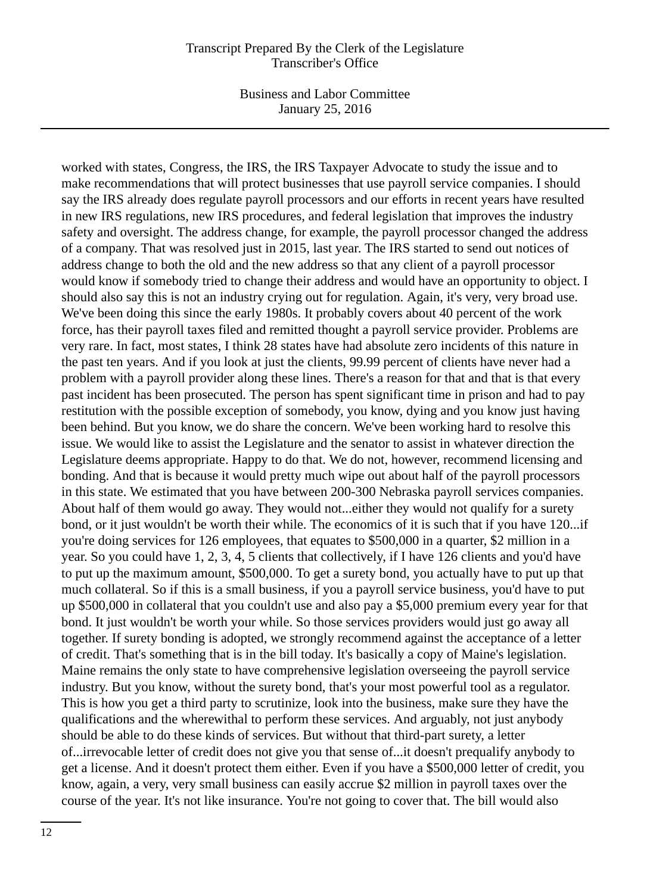Business and Labor Committee January 25, 2016

worked with states, Congress, the IRS, the IRS Taxpayer Advocate to study the issue and to make recommendations that will protect businesses that use payroll service companies. I should say the IRS already does regulate payroll processors and our efforts in recent years have resulted in new IRS regulations, new IRS procedures, and federal legislation that improves the industry safety and oversight. The address change, for example, the payroll processor changed the address of a company. That was resolved just in 2015, last year. The IRS started to send out notices of address change to both the old and the new address so that any client of a payroll processor would know if somebody tried to change their address and would have an opportunity to object. I should also say this is not an industry crying out for regulation. Again, it's very, very broad use. We've been doing this since the early 1980s. It probably covers about 40 percent of the work force, has their payroll taxes filed and remitted thought a payroll service provider. Problems are very rare. In fact, most states, I think 28 states have had absolute zero incidents of this nature in the past ten years. And if you look at just the clients, 99.99 percent of clients have never had a problem with a payroll provider along these lines. There's a reason for that and that is that every past incident has been prosecuted. The person has spent significant time in prison and had to pay restitution with the possible exception of somebody, you know, dying and you know just having been behind. But you know, we do share the concern. We've been working hard to resolve this issue. We would like to assist the Legislature and the senator to assist in whatever direction the Legislature deems appropriate. Happy to do that. We do not, however, recommend licensing and bonding. And that is because it would pretty much wipe out about half of the payroll processors in this state. We estimated that you have between 200-300 Nebraska payroll services companies. About half of them would go away. They would not...either they would not qualify for a surety bond, or it just wouldn't be worth their while. The economics of it is such that if you have 120...if you're doing services for 126 employees, that equates to \$500,000 in a quarter, \$2 million in a year. So you could have 1, 2, 3, 4, 5 clients that collectively, if I have 126 clients and you'd have to put up the maximum amount, \$500,000. To get a surety bond, you actually have to put up that much collateral. So if this is a small business, if you a payroll service business, you'd have to put up \$500,000 in collateral that you couldn't use and also pay a \$5,000 premium every year for that bond. It just wouldn't be worth your while. So those services providers would just go away all together. If surety bonding is adopted, we strongly recommend against the acceptance of a letter of credit. That's something that is in the bill today. It's basically a copy of Maine's legislation. Maine remains the only state to have comprehensive legislation overseeing the payroll service industry. But you know, without the surety bond, that's your most powerful tool as a regulator. This is how you get a third party to scrutinize, look into the business, make sure they have the qualifications and the wherewithal to perform these services. And arguably, not just anybody should be able to do these kinds of services. But without that third-part surety, a letter of...irrevocable letter of credit does not give you that sense of...it doesn't prequalify anybody to get a license. And it doesn't protect them either. Even if you have a \$500,000 letter of credit, you know, again, a very, very small business can easily accrue \$2 million in payroll taxes over the course of the year. It's not like insurance. You're not going to cover that. The bill would also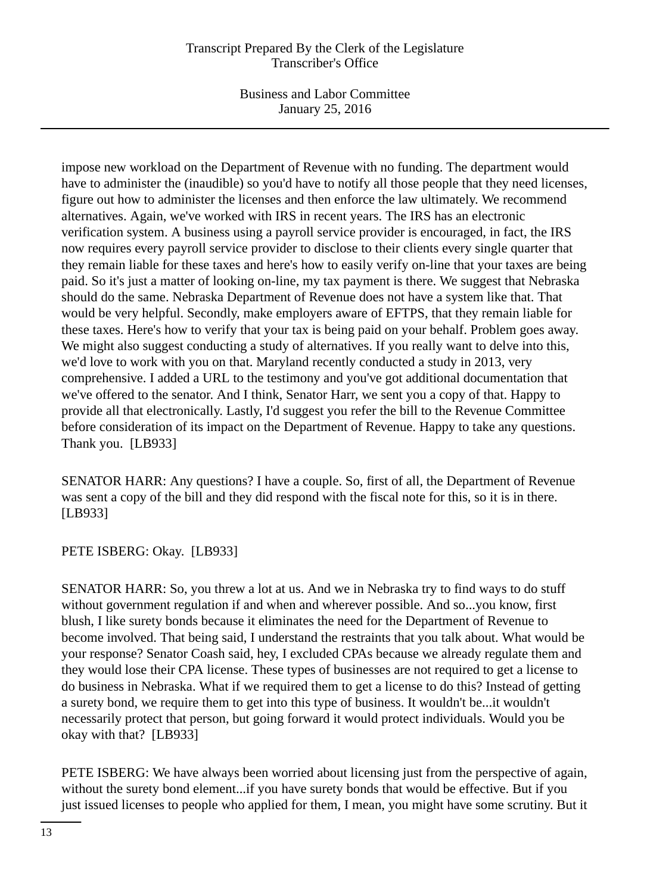Business and Labor Committee January 25, 2016

impose new workload on the Department of Revenue with no funding. The department would have to administer the (inaudible) so you'd have to notify all those people that they need licenses, figure out how to administer the licenses and then enforce the law ultimately. We recommend alternatives. Again, we've worked with IRS in recent years. The IRS has an electronic verification system. A business using a payroll service provider is encouraged, in fact, the IRS now requires every payroll service provider to disclose to their clients every single quarter that they remain liable for these taxes and here's how to easily verify on-line that your taxes are being paid. So it's just a matter of looking on-line, my tax payment is there. We suggest that Nebraska should do the same. Nebraska Department of Revenue does not have a system like that. That would be very helpful. Secondly, make employers aware of EFTPS, that they remain liable for these taxes. Here's how to verify that your tax is being paid on your behalf. Problem goes away. We might also suggest conducting a study of alternatives. If you really want to delve into this, we'd love to work with you on that. Maryland recently conducted a study in 2013, very comprehensive. I added a URL to the testimony and you've got additional documentation that we've offered to the senator. And I think, Senator Harr, we sent you a copy of that. Happy to provide all that electronically. Lastly, I'd suggest you refer the bill to the Revenue Committee before consideration of its impact on the Department of Revenue. Happy to take any questions. Thank you. [LB933]

SENATOR HARR: Any questions? I have a couple. So, first of all, the Department of Revenue was sent a copy of the bill and they did respond with the fiscal note for this, so it is in there. [LB933]

PETE ISBERG: Okay. [LB933]

SENATOR HARR: So, you threw a lot at us. And we in Nebraska try to find ways to do stuff without government regulation if and when and wherever possible. And so...you know, first blush, I like surety bonds because it eliminates the need for the Department of Revenue to become involved. That being said, I understand the restraints that you talk about. What would be your response? Senator Coash said, hey, I excluded CPAs because we already regulate them and they would lose their CPA license. These types of businesses are not required to get a license to do business in Nebraska. What if we required them to get a license to do this? Instead of getting a surety bond, we require them to get into this type of business. It wouldn't be...it wouldn't necessarily protect that person, but going forward it would protect individuals. Would you be okay with that? [LB933]

PETE ISBERG: We have always been worried about licensing just from the perspective of again, without the surety bond element...if you have surety bonds that would be effective. But if you just issued licenses to people who applied for them, I mean, you might have some scrutiny. But it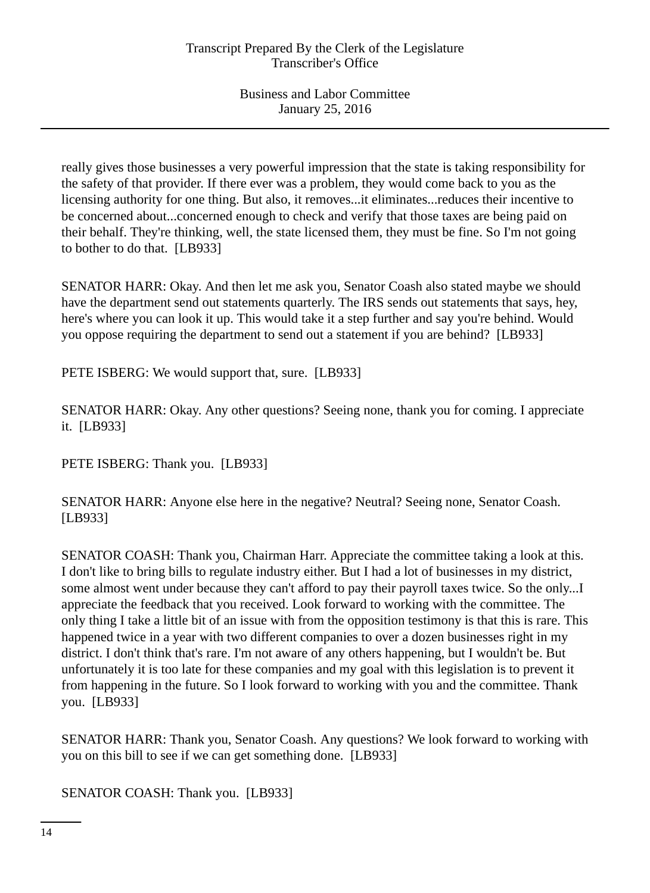really gives those businesses a very powerful impression that the state is taking responsibility for the safety of that provider. If there ever was a problem, they would come back to you as the licensing authority for one thing. But also, it removes...it eliminates...reduces their incentive to be concerned about...concerned enough to check and verify that those taxes are being paid on their behalf. They're thinking, well, the state licensed them, they must be fine. So I'm not going to bother to do that. [LB933]

SENATOR HARR: Okay. And then let me ask you, Senator Coash also stated maybe we should have the department send out statements quarterly. The IRS sends out statements that says, hey, here's where you can look it up. This would take it a step further and say you're behind. Would you oppose requiring the department to send out a statement if you are behind? [LB933]

PETE ISBERG: We would support that, sure. [LB933]

SENATOR HARR: Okay. Any other questions? Seeing none, thank you for coming. I appreciate it. [LB933]

PETE ISBERG: Thank you. [LB933]

SENATOR HARR: Anyone else here in the negative? Neutral? Seeing none, Senator Coash. [LB933]

SENATOR COASH: Thank you, Chairman Harr. Appreciate the committee taking a look at this. I don't like to bring bills to regulate industry either. But I had a lot of businesses in my district, some almost went under because they can't afford to pay their payroll taxes twice. So the only...I appreciate the feedback that you received. Look forward to working with the committee. The only thing I take a little bit of an issue with from the opposition testimony is that this is rare. This happened twice in a year with two different companies to over a dozen businesses right in my district. I don't think that's rare. I'm not aware of any others happening, but I wouldn't be. But unfortunately it is too late for these companies and my goal with this legislation is to prevent it from happening in the future. So I look forward to working with you and the committee. Thank you. [LB933]

SENATOR HARR: Thank you, Senator Coash. Any questions? We look forward to working with you on this bill to see if we can get something done. [LB933]

SENATOR COASH: Thank you. [LB933]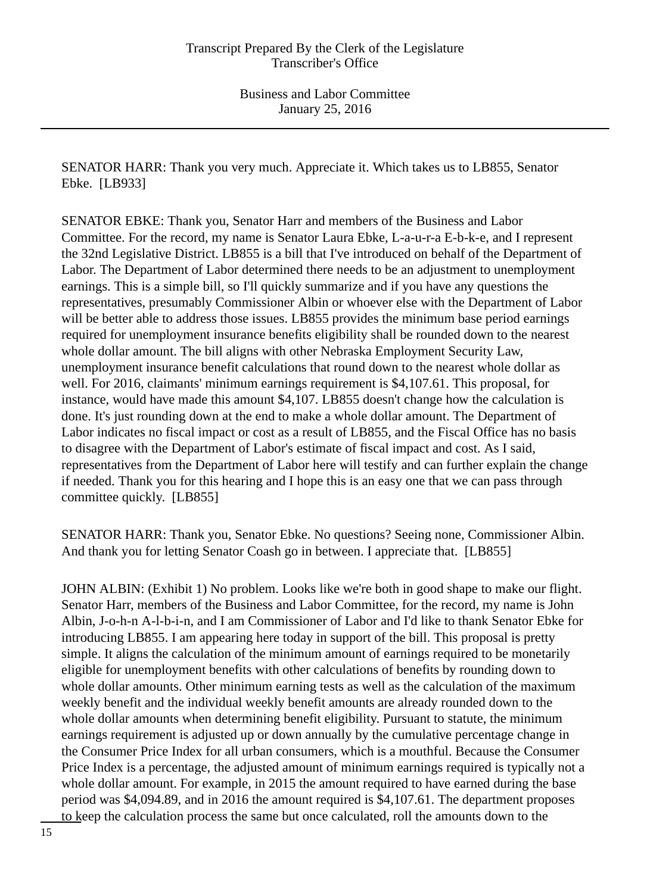SENATOR HARR: Thank you very much. Appreciate it. Which takes us to LB855, Senator Ebke. [LB933]

SENATOR EBKE: Thank you, Senator Harr and members of the Business and Labor Committee. For the record, my name is Senator Laura Ebke, L-a-u-r-a E-b-k-e, and I represent the 32nd Legislative District. LB855 is a bill that I've introduced on behalf of the Department of Labor. The Department of Labor determined there needs to be an adjustment to unemployment earnings. This is a simple bill, so I'll quickly summarize and if you have any questions the representatives, presumably Commissioner Albin or whoever else with the Department of Labor will be better able to address those issues. LB855 provides the minimum base period earnings required for unemployment insurance benefits eligibility shall be rounded down to the nearest whole dollar amount. The bill aligns with other Nebraska Employment Security Law, unemployment insurance benefit calculations that round down to the nearest whole dollar as well. For 2016, claimants' minimum earnings requirement is \$4,107.61. This proposal, for instance, would have made this amount \$4,107. LB855 doesn't change how the calculation is done. It's just rounding down at the end to make a whole dollar amount. The Department of Labor indicates no fiscal impact or cost as a result of LB855, and the Fiscal Office has no basis to disagree with the Department of Labor's estimate of fiscal impact and cost. As I said, representatives from the Department of Labor here will testify and can further explain the change if needed. Thank you for this hearing and I hope this is an easy one that we can pass through committee quickly. [LB855]

SENATOR HARR: Thank you, Senator Ebke. No questions? Seeing none, Commissioner Albin. And thank you for letting Senator Coash go in between. I appreciate that. [LB855]

JOHN ALBIN: (Exhibit 1) No problem. Looks like we're both in good shape to make our flight. Senator Harr, members of the Business and Labor Committee, for the record, my name is John Albin, J-o-h-n A-l-b-i-n, and I am Commissioner of Labor and I'd like to thank Senator Ebke for introducing LB855. I am appearing here today in support of the bill. This proposal is pretty simple. It aligns the calculation of the minimum amount of earnings required to be monetarily eligible for unemployment benefits with other calculations of benefits by rounding down to whole dollar amounts. Other minimum earning tests as well as the calculation of the maximum weekly benefit and the individual weekly benefit amounts are already rounded down to the whole dollar amounts when determining benefit eligibility. Pursuant to statute, the minimum earnings requirement is adjusted up or down annually by the cumulative percentage change in the Consumer Price Index for all urban consumers, which is a mouthful. Because the Consumer Price Index is a percentage, the adjusted amount of minimum earnings required is typically not a whole dollar amount. For example, in 2015 the amount required to have earned during the base period was \$4,094.89, and in 2016 the amount required is \$4,107.61. The department proposes to keep the calculation process the same but once calculated, roll the amounts down to the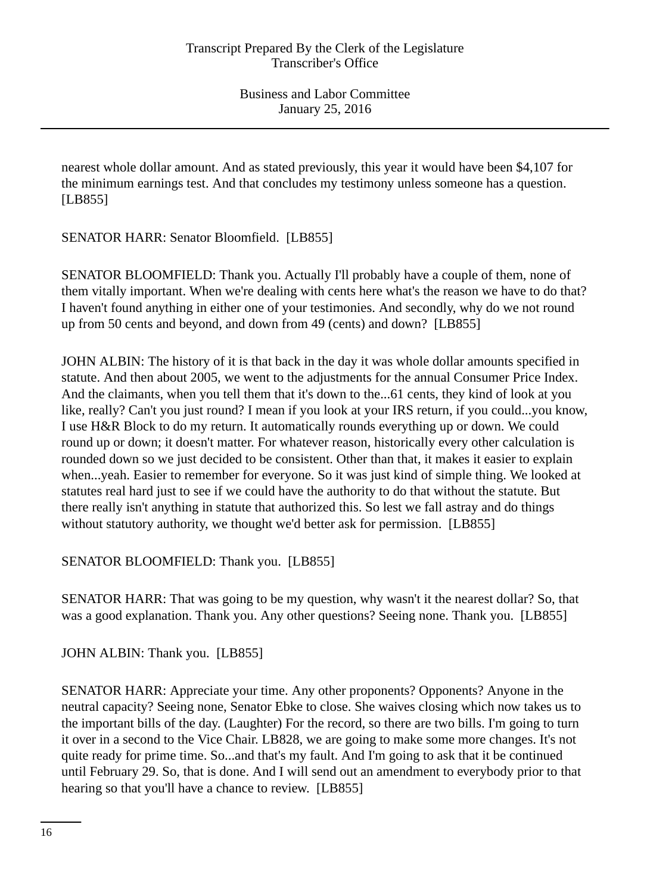nearest whole dollar amount. And as stated previously, this year it would have been \$4,107 for the minimum earnings test. And that concludes my testimony unless someone has a question. [LB855]

SENATOR HARR: Senator Bloomfield. [LB855]

SENATOR BLOOMFIELD: Thank you. Actually I'll probably have a couple of them, none of them vitally important. When we're dealing with cents here what's the reason we have to do that? I haven't found anything in either one of your testimonies. And secondly, why do we not round up from 50 cents and beyond, and down from 49 (cents) and down? [LB855]

JOHN ALBIN: The history of it is that back in the day it was whole dollar amounts specified in statute. And then about 2005, we went to the adjustments for the annual Consumer Price Index. And the claimants, when you tell them that it's down to the...61 cents, they kind of look at you like, really? Can't you just round? I mean if you look at your IRS return, if you could...you know, I use H&R Block to do my return. It automatically rounds everything up or down. We could round up or down; it doesn't matter. For whatever reason, historically every other calculation is rounded down so we just decided to be consistent. Other than that, it makes it easier to explain when...yeah. Easier to remember for everyone. So it was just kind of simple thing. We looked at statutes real hard just to see if we could have the authority to do that without the statute. But there really isn't anything in statute that authorized this. So lest we fall astray and do things without statutory authority, we thought we'd better ask for permission. [LB855]

SENATOR BLOOMFIELD: Thank you. [LB855]

SENATOR HARR: That was going to be my question, why wasn't it the nearest dollar? So, that was a good explanation. Thank you. Any other questions? Seeing none. Thank you. [LB855]

JOHN ALBIN: Thank you. [LB855]

SENATOR HARR: Appreciate your time. Any other proponents? Opponents? Anyone in the neutral capacity? Seeing none, Senator Ebke to close. She waives closing which now takes us to the important bills of the day. (Laughter) For the record, so there are two bills. I'm going to turn it over in a second to the Vice Chair. LB828, we are going to make some more changes. It's not quite ready for prime time. So...and that's my fault. And I'm going to ask that it be continued until February 29. So, that is done. And I will send out an amendment to everybody prior to that hearing so that you'll have a chance to review. [LB855]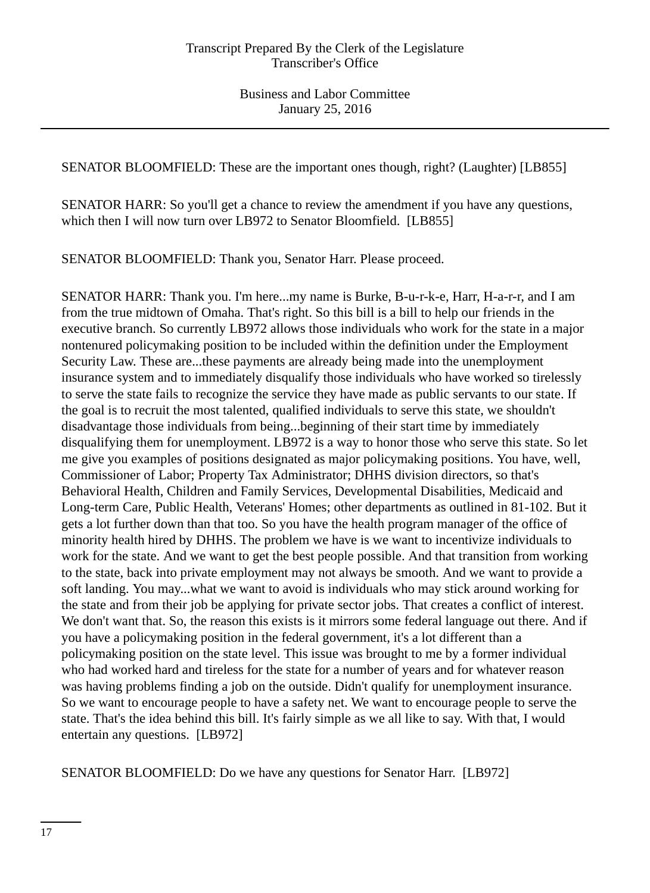SENATOR BLOOMFIELD: These are the important ones though, right? (Laughter) [LB855]

SENATOR HARR: So you'll get a chance to review the amendment if you have any questions, which then I will now turn over LB972 to Senator Bloomfield. [LB855]

SENATOR BLOOMFIELD: Thank you, Senator Harr. Please proceed.

SENATOR HARR: Thank you. I'm here...my name is Burke, B-u-r-k-e, Harr, H-a-r-r, and I am from the true midtown of Omaha. That's right. So this bill is a bill to help our friends in the executive branch. So currently LB972 allows those individuals who work for the state in a major nontenured policymaking position to be included within the definition under the Employment Security Law. These are...these payments are already being made into the unemployment insurance system and to immediately disqualify those individuals who have worked so tirelessly to serve the state fails to recognize the service they have made as public servants to our state. If the goal is to recruit the most talented, qualified individuals to serve this state, we shouldn't disadvantage those individuals from being...beginning of their start time by immediately disqualifying them for unemployment. LB972 is a way to honor those who serve this state. So let me give you examples of positions designated as major policymaking positions. You have, well, Commissioner of Labor; Property Tax Administrator; DHHS division directors, so that's Behavioral Health, Children and Family Services, Developmental Disabilities, Medicaid and Long-term Care, Public Health, Veterans' Homes; other departments as outlined in 81-102. But it gets a lot further down than that too. So you have the health program manager of the office of minority health hired by DHHS. The problem we have is we want to incentivize individuals to work for the state. And we want to get the best people possible. And that transition from working to the state, back into private employment may not always be smooth. And we want to provide a soft landing. You may...what we want to avoid is individuals who may stick around working for the state and from their job be applying for private sector jobs. That creates a conflict of interest. We don't want that. So, the reason this exists is it mirrors some federal language out there. And if you have a policymaking position in the federal government, it's a lot different than a policymaking position on the state level. This issue was brought to me by a former individual who had worked hard and tireless for the state for a number of years and for whatever reason was having problems finding a job on the outside. Didn't qualify for unemployment insurance. So we want to encourage people to have a safety net. We want to encourage people to serve the state. That's the idea behind this bill. It's fairly simple as we all like to say. With that, I would entertain any questions. [LB972]

SENATOR BLOOMFIELD: Do we have any questions for Senator Harr. [LB972]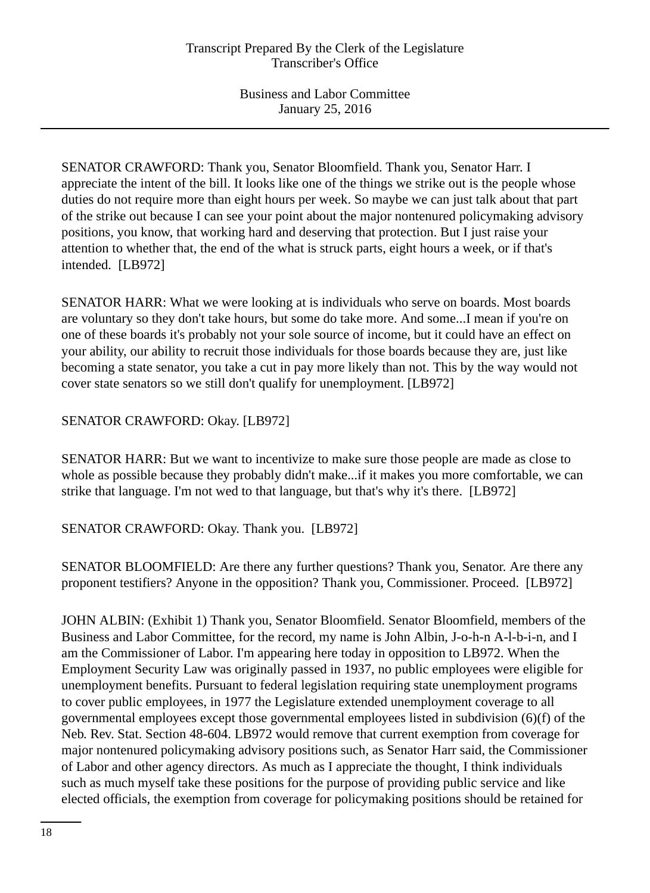SENATOR CRAWFORD: Thank you, Senator Bloomfield. Thank you, Senator Harr. I appreciate the intent of the bill. It looks like one of the things we strike out is the people whose duties do not require more than eight hours per week. So maybe we can just talk about that part of the strike out because I can see your point about the major nontenured policymaking advisory positions, you know, that working hard and deserving that protection. But I just raise your attention to whether that, the end of the what is struck parts, eight hours a week, or if that's intended. [LB972]

SENATOR HARR: What we were looking at is individuals who serve on boards. Most boards are voluntary so they don't take hours, but some do take more. And some...I mean if you're on one of these boards it's probably not your sole source of income, but it could have an effect on your ability, our ability to recruit those individuals for those boards because they are, just like becoming a state senator, you take a cut in pay more likely than not. This by the way would not cover state senators so we still don't qualify for unemployment. [LB972]

# SENATOR CRAWFORD: Okay. [LB972]

SENATOR HARR: But we want to incentivize to make sure those people are made as close to whole as possible because they probably didn't make...if it makes you more comfortable, we can strike that language. I'm not wed to that language, but that's why it's there. [LB972]

SENATOR CRAWFORD: Okay. Thank you. [LB972]

SENATOR BLOOMFIELD: Are there any further questions? Thank you, Senator. Are there any proponent testifiers? Anyone in the opposition? Thank you, Commissioner. Proceed. [LB972]

JOHN ALBIN: (Exhibit 1) Thank you, Senator Bloomfield. Senator Bloomfield, members of the Business and Labor Committee, for the record, my name is John Albin, J-o-h-n A-l-b-i-n, and I am the Commissioner of Labor. I'm appearing here today in opposition to LB972. When the Employment Security Law was originally passed in 1937, no public employees were eligible for unemployment benefits. Pursuant to federal legislation requiring state unemployment programs to cover public employees, in 1977 the Legislature extended unemployment coverage to all governmental employees except those governmental employees listed in subdivision (6)(f) of the Neb. Rev. Stat. Section 48-604. LB972 would remove that current exemption from coverage for major nontenured policymaking advisory positions such, as Senator Harr said, the Commissioner of Labor and other agency directors. As much as I appreciate the thought, I think individuals such as much myself take these positions for the purpose of providing public service and like elected officials, the exemption from coverage for policymaking positions should be retained for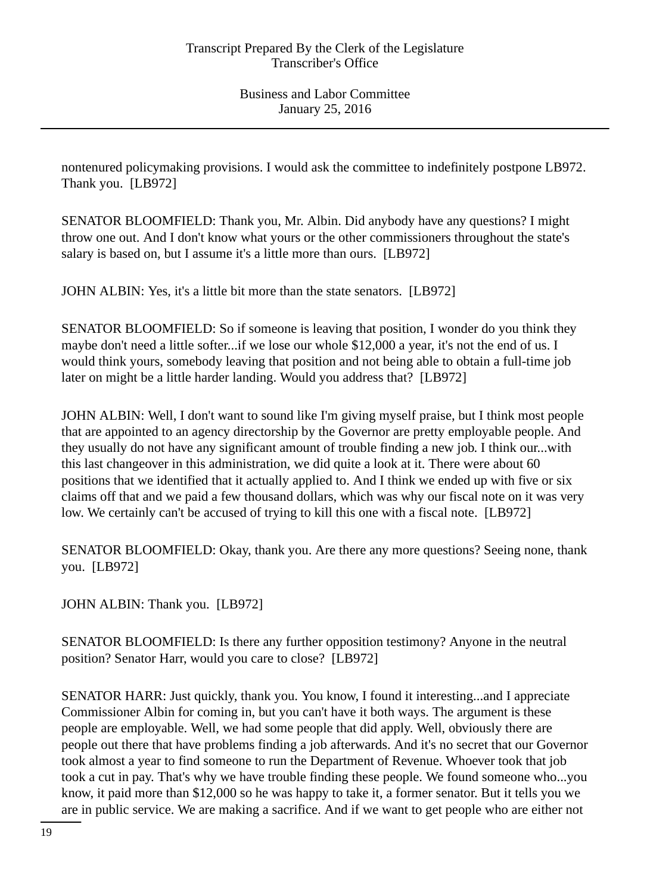nontenured policymaking provisions. I would ask the committee to indefinitely postpone LB972. Thank you. [LB972]

SENATOR BLOOMFIELD: Thank you, Mr. Albin. Did anybody have any questions? I might throw one out. And I don't know what yours or the other commissioners throughout the state's salary is based on, but I assume it's a little more than ours. [LB972]

JOHN ALBIN: Yes, it's a little bit more than the state senators. [LB972]

SENATOR BLOOMFIELD: So if someone is leaving that position, I wonder do you think they maybe don't need a little softer...if we lose our whole \$12,000 a year, it's not the end of us. I would think yours, somebody leaving that position and not being able to obtain a full-time job later on might be a little harder landing. Would you address that? [LB972]

JOHN ALBIN: Well, I don't want to sound like I'm giving myself praise, but I think most people that are appointed to an agency directorship by the Governor are pretty employable people. And they usually do not have any significant amount of trouble finding a new job. I think our...with this last changeover in this administration, we did quite a look at it. There were about 60 positions that we identified that it actually applied to. And I think we ended up with five or six claims off that and we paid a few thousand dollars, which was why our fiscal note on it was very low. We certainly can't be accused of trying to kill this one with a fiscal note. [LB972]

SENATOR BLOOMFIELD: Okay, thank you. Are there any more questions? Seeing none, thank you. [LB972]

JOHN ALBIN: Thank you. [LB972]

SENATOR BLOOMFIELD: Is there any further opposition testimony? Anyone in the neutral position? Senator Harr, would you care to close? [LB972]

SENATOR HARR: Just quickly, thank you. You know, I found it interesting...and I appreciate Commissioner Albin for coming in, but you can't have it both ways. The argument is these people are employable. Well, we had some people that did apply. Well, obviously there are people out there that have problems finding a job afterwards. And it's no secret that our Governor took almost a year to find someone to run the Department of Revenue. Whoever took that job took a cut in pay. That's why we have trouble finding these people. We found someone who...you know, it paid more than \$12,000 so he was happy to take it, a former senator. But it tells you we are in public service. We are making a sacrifice. And if we want to get people who are either not